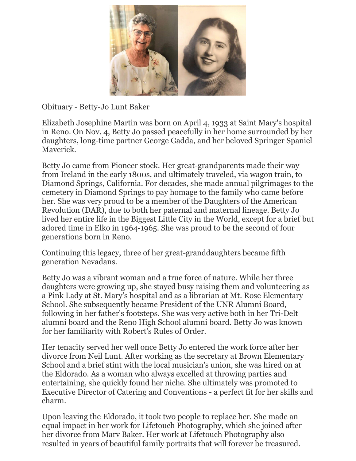

Obituary - Betty-Jo Lunt Baker

Elizabeth Josephine Martin was born on April 4, 1933 at Saint Mary's hospital in Reno. On Nov. 4, Betty Jo passed peacefully in her home surrounded by her daughters, long-time partner George Gadda, and her beloved Springer Spaniel Maverick.

Betty Jo came from Pioneer stock. Her great-grandparents made their way from Ireland in the early 1800s, and ultimately traveled, via wagon train, to Diamond Springs, California. For decades, she made annual pilgrimages to the cemetery in Diamond Springs to pay homage to the family who came before her. She was very proud to be a member of the Daughters of the American Revolution (DAR), due to both her paternal and maternal lineage. Betty Jo lived her entire life in the Biggest Little City in the World, except for a brief but adored time in Elko in 1964-1965. She was proud to be the second of four generations born in Reno.

Continuing this legacy, three of her great-granddaughters became fifth generation Nevadans.

Betty Jo was a vibrant woman and a true force of nature. While her three daughters were growing up, she stayed busy raising them and volunteering as a Pink Lady at St. Mary's hospital and as a librarian at Mt. Rose Elementary School. She subsequently became President of the UNR Alumni Board, following in her father's footsteps. She was very active both in her Tri-Delt alumni board and the Reno High School alumni board. Betty Jo was known for her familiarity with Robert's Rules of Order.

Her tenacity served her well once Betty Jo entered the work force after her divorce from Neil Lunt. After working as the secretary at Brown Elementary School and a brief stint with the local musician's union, she was hired on at the Eldorado. As a woman who always excelled at throwing parties and entertaining, she quickly found her niche. She ultimately was promoted to Executive Director of Catering and Conventions - a perfect fit for her skills and charm.

Upon leaving the Eldorado, it took two people to replace her. She made an equal impact in her work for Lifetouch Photography, which she joined after her divorce from Marv Baker. Her work at Lifetouch Photography also resulted in years of beautiful family portraits that will forever be treasured.